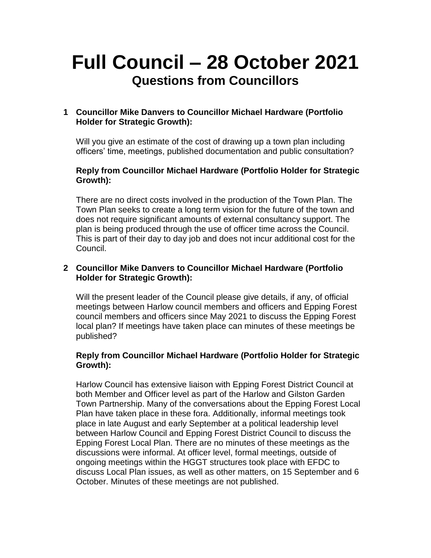# **Full Council – 28 October 2021 Questions from Councillors**

# **1 Councillor Mike Danvers to Councillor Michael Hardware (Portfolio Holder for Strategic Growth):**

Will you give an estimate of the cost of drawing up a town plan including officers' time, meetings, published documentation and public consultation?

## **Reply from Councillor Michael Hardware (Portfolio Holder for Strategic Growth):**

There are no direct costs involved in the production of the Town Plan. The Town Plan seeks to create a long term vision for the future of the town and does not require significant amounts of external consultancy support. The plan is being produced through the use of officer time across the Council. This is part of their day to day job and does not incur additional cost for the Council.

#### **2 Councillor Mike Danvers to Councillor Michael Hardware (Portfolio Holder for Strategic Growth):**

Will the present leader of the Council please give details, if any, of official meetings between Harlow council members and officers and Epping Forest council members and officers since May 2021 to discuss the Epping Forest local plan? If meetings have taken place can minutes of these meetings be published?

## **Reply from Councillor Michael Hardware (Portfolio Holder for Strategic Growth):**

Harlow Council has extensive liaison with Epping Forest District Council at both Member and Officer level as part of the Harlow and Gilston Garden Town Partnership. Many of the conversations about the Epping Forest Local Plan have taken place in these fora. Additionally, informal meetings took place in late August and early September at a political leadership level between Harlow Council and Epping Forest District Council to discuss the Epping Forest Local Plan. There are no minutes of these meetings as the discussions were informal. At officer level, formal meetings, outside of ongoing meetings within the HGGT structures took place with EFDC to discuss Local Plan issues, as well as other matters, on 15 September and 6 October. Minutes of these meetings are not published.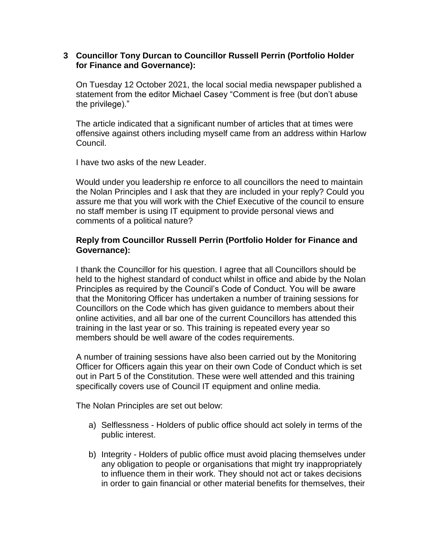#### **3 Councillor Tony Durcan to Councillor Russell Perrin (Portfolio Holder for Finance and Governance):**

On Tuesday 12 October 2021, the local social media newspaper published a statement from the editor Michael Casey "Comment is free (but don't abuse the privilege)."

The article indicated that a significant number of articles that at times were offensive against others including myself came from an address within Harlow Council.

I have two asks of the new Leader.

Would under you leadership re enforce to all councillors the need to maintain the Nolan Principles and I ask that they are included in your reply? Could you assure me that you will work with the Chief Executive of the council to ensure no staff member is using IT equipment to provide personal views and comments of a political nature?

## **Reply from Councillor Russell Perrin (Portfolio Holder for Finance and Governance):**

I thank the Councillor for his question. I agree that all Councillors should be held to the highest standard of conduct whilst in office and abide by the Nolan Principles as required by the Council's Code of Conduct. You will be aware that the Monitoring Officer has undertaken a number of training sessions for Councillors on the Code which has given guidance to members about their online activities, and all bar one of the current Councillors has attended this training in the last year or so. This training is repeated every year so members should be well aware of the codes requirements.

A number of training sessions have also been carried out by the Monitoring Officer for Officers again this year on their own Code of Conduct which is set out in Part 5 of the Constitution. These were well attended and this training specifically covers use of Council IT equipment and online media.

The Nolan Principles are set out below:

- a) Selflessness Holders of public office should act solely in terms of the public interest.
- b) Integrity Holders of public office must avoid placing themselves under any obligation to people or organisations that might try inappropriately to influence them in their work. They should not act or takes decisions in order to gain financial or other material benefits for themselves, their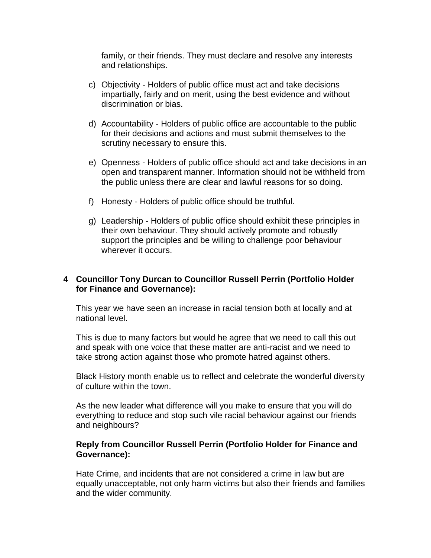family, or their friends. They must declare and resolve any interests and relationships.

- c) Objectivity Holders of public office must act and take decisions impartially, fairly and on merit, using the best evidence and without discrimination or bias.
- d) Accountability Holders of public office are accountable to the public for their decisions and actions and must submit themselves to the scrutiny necessary to ensure this.
- e) Openness Holders of public office should act and take decisions in an open and transparent manner. Information should not be withheld from the public unless there are clear and lawful reasons for so doing.
- f) Honesty Holders of public office should be truthful.
- g) Leadership Holders of public office should exhibit these principles in their own behaviour. They should actively promote and robustly support the principles and be willing to challenge poor behaviour wherever it occurs.

## **4 Councillor Tony Durcan to Councillor Russell Perrin (Portfolio Holder for Finance and Governance):**

This year we have seen an increase in racial tension both at locally and at national level.

This is due to many factors but would he agree that we need to call this out and speak with one voice that these matter are anti-racist and we need to take strong action against those who promote hatred against others.

Black History month enable us to reflect and celebrate the wonderful diversity of culture within the town.

As the new leader what difference will you make to ensure that you will do everything to reduce and stop such vile racial behaviour against our friends and neighbours?

## **Reply from Councillor Russell Perrin (Portfolio Holder for Finance and Governance):**

Hate Crime, and incidents that are not considered a crime in law but are equally unacceptable, not only harm victims but also their friends and families and the wider community.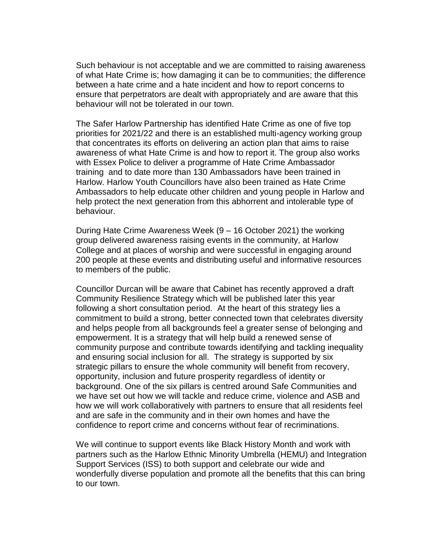Such behaviour is not acceptable and we are committed to raising awareness of what Hate Crime is; how damaging it can be to communities; the difference between a hate crime and a hate incident and how to report concerns to ensure that perpetrators are dealt with appropriately and are aware that this behaviour will not be tolerated in our town.

The Safer Harlow Partnership has identified Hate Crime as one of five top priorities for 2021/22 and there is an established multi-agency working group that concentrates its efforts on delivering an action plan that aims to raise awareness of what Hate Crime is and how to report it. The group also works with Essex Police to deliver a programme of Hate Crime Ambassador training and to date more than 130 Ambassadors have been trained in Harlow. Harlow Youth Councillors have also been trained as Hate Crime Ambassadors to help educate other children and young people in Harlow and help protect the next generation from this abhorrent and intolerable type of behaviour.

During Hate Crime Awareness Week (9 – 16 October 2021) the working group delivered awareness raising events in the community, at Harlow College and at places of worship and were successful in engaging around 200 people at these events and distributing useful and informative resources to members of the public.

Councillor Durcan will be aware that Cabinet has recently approved a draft Community Resilience Strategy which will be published later this year following a short consultation period. At the heart of this strategy lies a commitment to build a strong, better connected town that celebrates diversity and helps people from all backgrounds feel a greater sense of belonging and empowerment. It is a strategy that will help build a renewed sense of community purpose and contribute towards identifying and tackling inequality and ensuring social inclusion for all. The strategy is supported by six strategic pillars to ensure the whole community will benefit from recovery, opportunity, inclusion and future prosperity regardless of identity or background. One of the six pillars is centred around Safe Communities and we have set out how we will tackle and reduce crime, violence and ASB and how we will work collaboratively with partners to ensure that all residents feel and are safe in the community and in their own homes and have the confidence to report crime and concerns without fear of recriminations.

We will continue to support events like Black History Month and work with partners such as the Harlow Ethnic Minority Umbrella (HEMU) and Integration Support Services (ISS) to both support and celebrate our wide and wonderfully diverse population and promote all the benefits that this can bring to our town.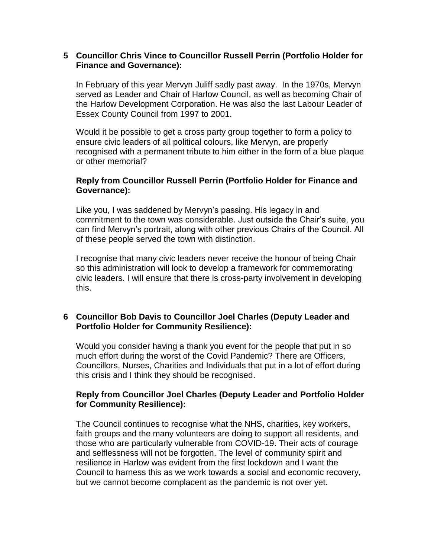#### **5 Councillor Chris Vince to Councillor Russell Perrin (Portfolio Holder for Finance and Governance):**

In February of this year Mervyn Juliff sadly past away. In the 1970s, Mervyn served as Leader and Chair of Harlow Council, as well as becoming Chair of the Harlow Development Corporation. He was also the last Labour Leader of Essex County Council from 1997 to 2001.

Would it be possible to get a cross party group together to form a policy to ensure civic leaders of all political colours, like Mervyn, are properly recognised with a permanent tribute to him either in the form of a blue plaque or other memorial?

#### **Reply from Councillor Russell Perrin (Portfolio Holder for Finance and Governance):**

Like you, I was saddened by Mervyn's passing. His legacy in and commitment to the town was considerable. Just outside the Chair's suite, you can find Mervyn's portrait, along with other previous Chairs of the Council. All of these people served the town with distinction.

I recognise that many civic leaders never receive the honour of being Chair so this administration will look to develop a framework for commemorating civic leaders. I will ensure that there is cross-party involvement in developing this.

## **6 Councillor Bob Davis to Councillor Joel Charles (Deputy Leader and Portfolio Holder for Community Resilience):**

Would you consider having a thank you event for the people that put in so much effort during the worst of the Covid Pandemic? There are Officers, Councillors, Nurses, Charities and Individuals that put in a lot of effort during this crisis and I think they should be recognised.

## **Reply from Councillor Joel Charles (Deputy Leader and Portfolio Holder for Community Resilience):**

The Council continues to recognise what the NHS, charities, key workers, faith groups and the many volunteers are doing to support all residents, and those who are particularly vulnerable from COVID-19. Their acts of courage and selflessness will not be forgotten. The level of community spirit and resilience in Harlow was evident from the first lockdown and I want the Council to harness this as we work towards a social and economic recovery, but we cannot become complacent as the pandemic is not over yet.